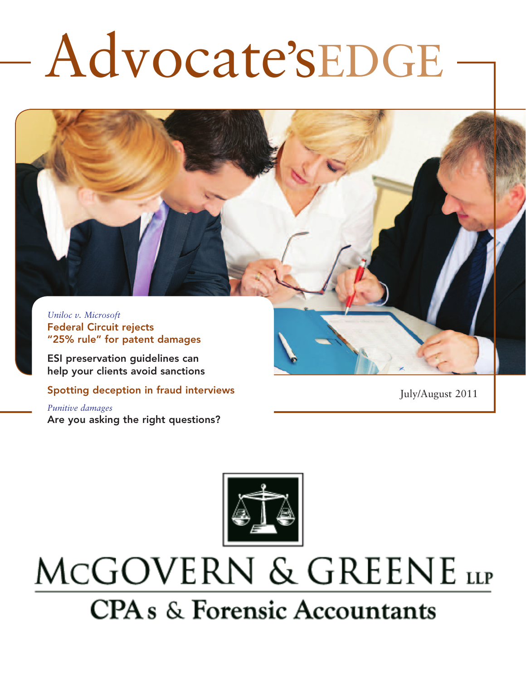# Advocate'sEDGE

*Uniloc v. Microsoft* Federal Circuit rejects "25% rule" for patent damages

ESI preservation guidelines can help your clients avoid sanctions

Spotting deception in fraud interviews

*Punitive damages*  Are you asking the right questions? July/August 2011



## MCGOVERN & GREENE LLP **CPA** s & Forensic Accountants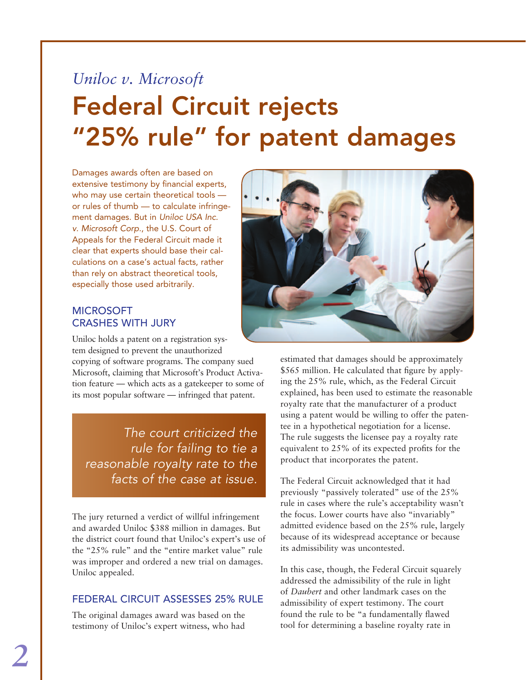### *Uniloc v. Microsoft* Federal Circuit rejects "25% rule" for patent damages

Damages awards often are based on extensive testimony by financial experts, who may use certain theoretical tools or rules of thumb — to calculate infringement damages. But in *Uniloc USA Inc. v. Microsoft Corp.*, the U.S. Court of Appeals for the Federal Circuit made it clear that experts should base their calculations on a case's actual facts, rather than rely on abstract theoretical tools, especially those used arbitrarily.

#### **MICROSOFT** crashes with jury

Uniloc holds a patent on a registration system designed to prevent the unauthorized copying of software programs. The company sued Microsoft, claiming that Microsoft's Product Activation feature — which acts as a gatekeeper to some of its most popular software — infringed that patent.

*The court criticized the rule for failing to tie a reasonable royalty rate to the facts of the case at issue.*

The jury returned a verdict of willful infringement and awarded Uniloc \$388 million in damages. But the district court found that Uniloc's expert's use of the "25% rule" and the "entire market value" rule was improper and ordered a new trial on damages. Uniloc appealed.

### Federal Circuit assesses 25% rule

The original damages award was based on the testimony of Uniloc's expert witness, who had



estimated that damages should be approximately \$565 million. He calculated that figure by applying the 25% rule, which, as the Federal Circuit explained, has been used to estimate the reasonable royalty rate that the manufacturer of a product using a patent would be willing to offer the patentee in a hypothetical negotiation for a license. The rule suggests the licensee pay a royalty rate equivalent to 25% of its expected profits for the product that incorporates the patent.

The Federal Circuit acknowledged that it had previously "passively tolerated" use of the 25% rule in cases where the rule's acceptability wasn't the focus. Lower courts have also "invariably" admitted evidence based on the 25% rule, largely because of its widespread acceptance or because its admissibility was uncontested.

In this case, though, the Federal Circuit squarely addressed the admissibility of the rule in light of *Daubert* and other landmark cases on the admissibility of expert testimony. The court found the rule to be "a fundamentally flawed tool for determining a baseline royalty rate in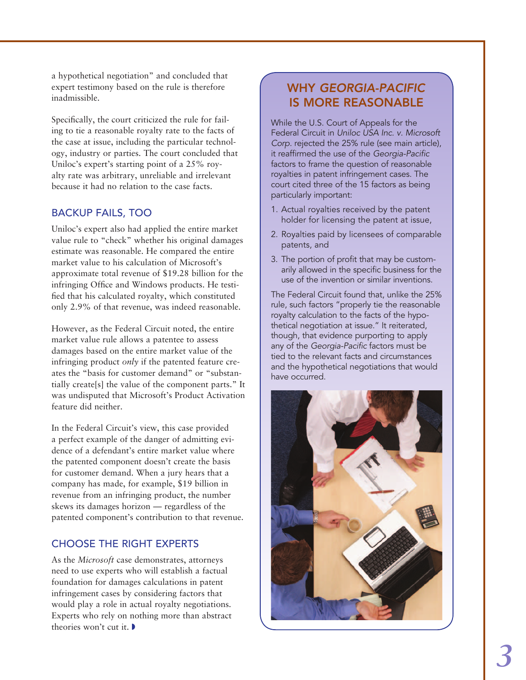a hypothetical negotiation" and concluded that expert testimony based on the rule is therefore inadmissible.

Specifically, the court criticized the rule for failing to tie a reasonable royalty rate to the facts of the case at issue, including the particular technology, industry or parties. The court concluded that Uniloc's expert's starting point of a 25% royalty rate was arbitrary, unreliable and irrelevant because it had no relation to the case facts.

### Backup fails, too

Uniloc's expert also had applied the entire market value rule to "check" whether his original damages estimate was reasonable. He compared the entire market value to his calculation of Microsoft's approximate total revenue of \$19.28 billion for the infringing Office and Windows products. He testified that his calculated royalty, which constituted only 2.9% of that revenue, was indeed reasonable.

However, as the Federal Circuit noted, the entire market value rule allows a patentee to assess damages based on the entire market value of the infringing product *only* if the patented feature creates the "basis for customer demand" or "substantially create[s] the value of the component parts." It was undisputed that Microsoft's Product Activation feature did neither.

In the Federal Circuit's view, this case provided a perfect example of the danger of admitting evidence of a defendant's entire market value where the patented component doesn't create the basis for customer demand. When a jury hears that a company has made, for example, \$19 billion in revenue from an infringing product, the number skews its damages horizon — regardless of the patented component's contribution to that revenue.

### Choose the right experts

As the *Microsoft* case demonstrates, attorneys need to use experts who will establish a factual foundation for damages calculations in patent infringement cases by considering factors that would play a role in actual royalty negotiations. Experts who rely on nothing more than abstract theories won't cut it.  $\blacktriangleright$ 

### Why *Georgia-Pacific* is more reasonable

While the U.S. Court of Appeals for the Federal Circuit in *Uniloc USA Inc. v. Microsoft Corp.* rejected the 25% rule (see main article), it reaffirmed the use of the *Georgia-Pacific* factors to frame the question of reasonable royalties in patent infringement cases. The court cited three of the 15 factors as being particularly important:

- 1. Actual royalties received by the patent holder for licensing the patent at issue,
- 2. Royalties paid by licensees of comparable patents, and
- 3. The portion of profit that may be customarily allowed in the specific business for the use of the invention or similar inventions.

The Federal Circuit found that, unlike the 25% rule, such factors "properly tie the reasonable royalty calculation to the facts of the hypothetical negotiation at issue." It reiterated, though, that evidence purporting to apply any of the *Georgia-Pacific* factors must be tied to the relevant facts and circumstances and the hypothetical negotiations that would have occurred.

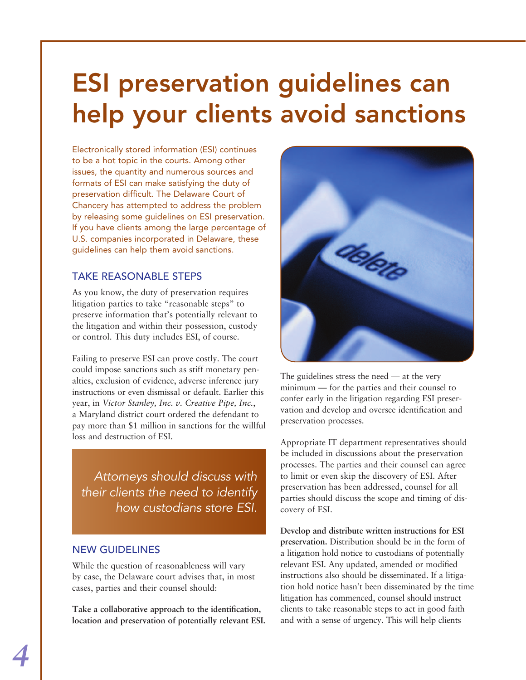### ESI preservation guidelines can help your clients avoid sanctions

Electronically stored information (ESI) continues to be a hot topic in the courts. Among other issues, the quantity and numerous sources and formats of ESI can make satisfying the duty of preservation difficult. The Delaware Court of Chancery has attempted to address the problem by releasing some guidelines on ESI preservation. If you have clients among the large percentage of U.S. companies incorporated in Delaware, these guidelines can help them avoid sanctions.

### Take reasonable steps

As you know, the duty of preservation requires litigation parties to take "reasonable steps" to preserve information that's potentially relevant to the litigation and within their possession, custody or control. This duty includes ESI, of course.

Failing to preserve ESI can prove costly. The court could impose sanctions such as stiff monetary penalties, exclusion of evidence, adverse inference jury instructions or even dismissal or default. Earlier this year, in *Victor Stanley, Inc. v. Creative Pipe, Inc.*, a Maryland district court ordered the defendant to pay more than \$1 million in sanctions for the willful loss and destruction of ESI.

*Attorneys should discuss with their clients the need to identify how custodians store ESI.*

### New guidelines

While the question of reasonableness will vary by case, the Delaware court advises that, in most cases, parties and their counsel should:

**Take a collaborative approach to the identification, location and preservation of potentially relevant ESI.**



The guidelines stress the need — at the very minimum — for the parties and their counsel to confer early in the litigation regarding ESI preservation and develop and oversee identification and preservation processes.

Appropriate IT department representatives should be included in discussions about the preservation processes. The parties and their counsel can agree to limit or even skip the discovery of ESI. After preservation has been addressed, counsel for all parties should discuss the scope and timing of discovery of ESI.

**Develop and distribute written instructions for ESI preservation.** Distribution should be in the form of a litigation hold notice to custodians of potentially relevant ESI. Any updated, amended or modified instructions also should be disseminated. If a litigation hold notice hasn't been disseminated by the time litigation has commenced, counsel should instruct clients to take reasonable steps to act in good faith and with a sense of urgency. This will help clients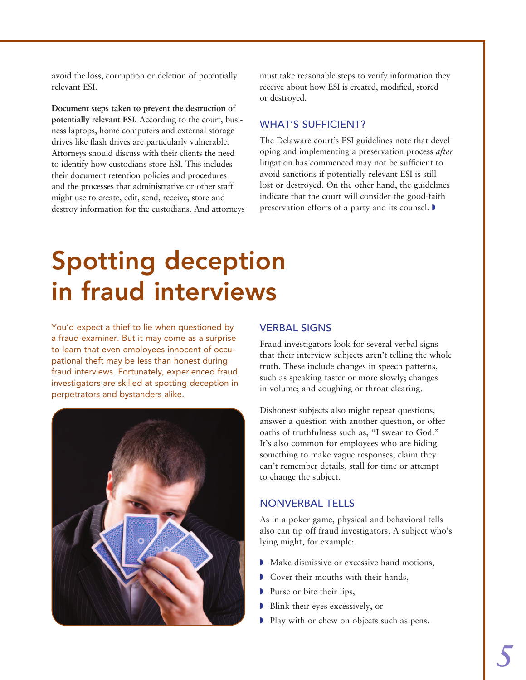avoid the loss, corruption or deletion of potentially relevant ESI.

**Document steps taken to prevent the destruction of potentially relevant ESI.** According to the court, business laptops, home computers and external storage drives like flash drives are particularly vulnerable. Attorneys should discuss with their clients the need to identify how custodians store ESI. This includes their document retention policies and procedures and the processes that administrative or other staff might use to create, edit, send, receive, store and destroy information for the custodians. And attorneys must take reasonable steps to verify information they receive about how ESI is created, modified, stored or destroyed.

#### WHAT'S SUFFICIENT?

The Delaware court's ESI guidelines note that developing and implementing a preservation process *after* litigation has commenced may not be sufficient to avoid sanctions if potentially relevant ESI is still lost or destroyed. On the other hand, the guidelines indicate that the court will consider the good-faith preservation efforts of a party and its counsel.  $\blacktriangleright$ 

### Spotting deception in fraud interviews

You'd expect a thief to lie when questioned by a fraud examiner. But it may come as a surprise to learn that even employees innocent of occupational theft may be less than honest during fraud interviews. Fortunately, experienced fraud investigators are skilled at spotting deception in perpetrators and bystanders alike.



#### **VERBAL SIGNS**

Fraud investigators look for several verbal signs that their interview subjects aren't telling the whole truth. These include changes in speech patterns, such as speaking faster or more slowly; changes in volume; and coughing or throat clearing.

Dishonest subjects also might repeat questions, answer a question with another question, or offer oaths of truthfulness such as, "I swear to God." It's also common for employees who are hiding something to make vague responses, claim they can't remember details, stall for time or attempt to change the subject.

#### Nonverbal tells

As in a poker game, physical and behavioral tells also can tip off fraud investigators. A subject who's lying might, for example:

- Make dismissive or excessive hand motions,
- Gover their mouths with their hands,
- Purse or bite their lips,
- $\triangleright$  Blink their eyes excessively, or
- **Play with or chew on objects such as pens.**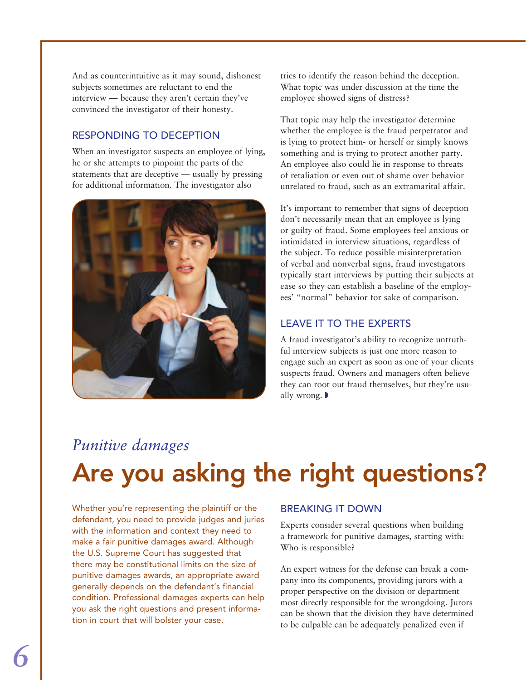And as counterintuitive as it may sound, dishonest subjects sometimes are reluctant to end the interview — because they aren't certain they've convinced the investigator of their honesty.

### Responding to deception

When an investigator suspects an employee of lying, he or she attempts to pinpoint the parts of the statements that are deceptive — usually by pressing for additional information. The investigator also



tries to identify the reason behind the deception. What topic was under discussion at the time the employee showed signs of distress?

That topic may help the investigator determine whether the employee is the fraud perpetrator and is lying to protect him- or herself or simply knows something and is trying to protect another party. An employee also could lie in response to threats of retaliation or even out of shame over behavior unrelated to fraud, such as an extramarital affair.

It's important to remember that signs of deception don't necessarily mean that an employee is lying or guilty of fraud. Some employees feel anxious or intimidated in interview situations, regardless of the subject. To reduce possible misinterpretation of verbal and nonverbal signs, fraud investigators typically start interviews by putting their subjects at ease so they can establish a baseline of the employees' "normal" behavior for sake of comparison.

### Leave it to the experts

A fraud investigator's ability to recognize untruthful interview subjects is just one more reason to engage such an expert as soon as one of your clients suspects fraud. Owners and managers often believe they can root out fraud themselves, but they're usually wrong.  $\blacktriangleright$ 

### *Punitive damages*  Are you asking the right questions?

Whether you're representing the plaintiff or the defendant, you need to provide judges and juries with the information and context they need to make a fair punitive damages award. Although the U.S. Supreme Court has suggested that there may be constitutional limits on the size of punitive damages awards, an appropriate award generally depends on the defendant's financial condition. Professional damages experts can help you ask the right questions and present information in court that will bolster your case.

### Breaking it down

Experts consider several questions when building a framework for punitive damages, starting with: Who is responsible?

An expert witness for the defense can break a company into its components, providing jurors with a proper perspective on the division or department most directly responsible for the wrongdoing. Jurors can be shown that the division they have determined to be culpable can be adequately penalized even if